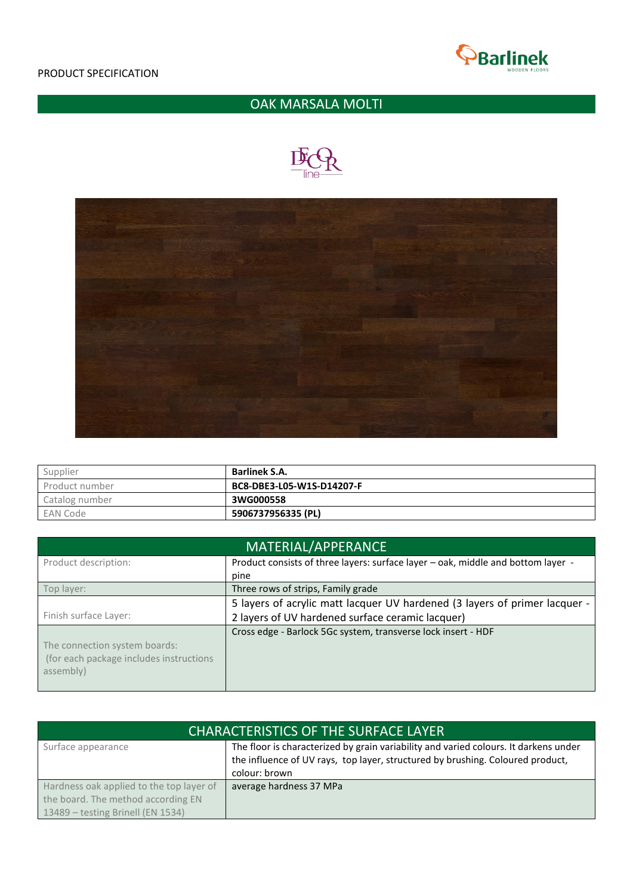

## OAK MARSALA MOLTI





| Supplier       | <b>Barlinek S.A.</b>      |
|----------------|---------------------------|
| Product number | BC8-DBE3-L05-W1S-D14207-F |
| Catalog number | 3WG000558                 |
| EAN Code       | 5906737956335 (PL)        |

| MATERIAL/APPERANCE                                                                    |                                                                                  |  |  |  |
|---------------------------------------------------------------------------------------|----------------------------------------------------------------------------------|--|--|--|
| Product description:                                                                  | Product consists of three layers: surface layer - oak, middle and bottom layer - |  |  |  |
|                                                                                       | pine                                                                             |  |  |  |
| Top layer:                                                                            | Three rows of strips, Family grade                                               |  |  |  |
|                                                                                       | 5 layers of acrylic matt lacquer UV hardened (3 layers of primer lacquer -       |  |  |  |
| Finish surface Layer:                                                                 | 2 layers of UV hardened surface ceramic lacquer)                                 |  |  |  |
| The connection system boards:<br>(for each package includes instructions<br>assembly) | Cross edge - Barlock 5Gc system, transverse lock insert - HDF                    |  |  |  |

| <b>CHARACTERISTICS OF THE SURFACE LAYER</b> |                                                                                      |  |
|---------------------------------------------|--------------------------------------------------------------------------------------|--|
| Surface appearance                          | The floor is characterized by grain variability and varied colours. It darkens under |  |
|                                             | the influence of UV rays, top layer, structured by brushing. Coloured product,       |  |
|                                             | colour: brown                                                                        |  |
| Hardness oak applied to the top layer of    | average hardness 37 MPa                                                              |  |
| the board. The method according EN          |                                                                                      |  |
| 13489 - testing Brinell (EN 1534)           |                                                                                      |  |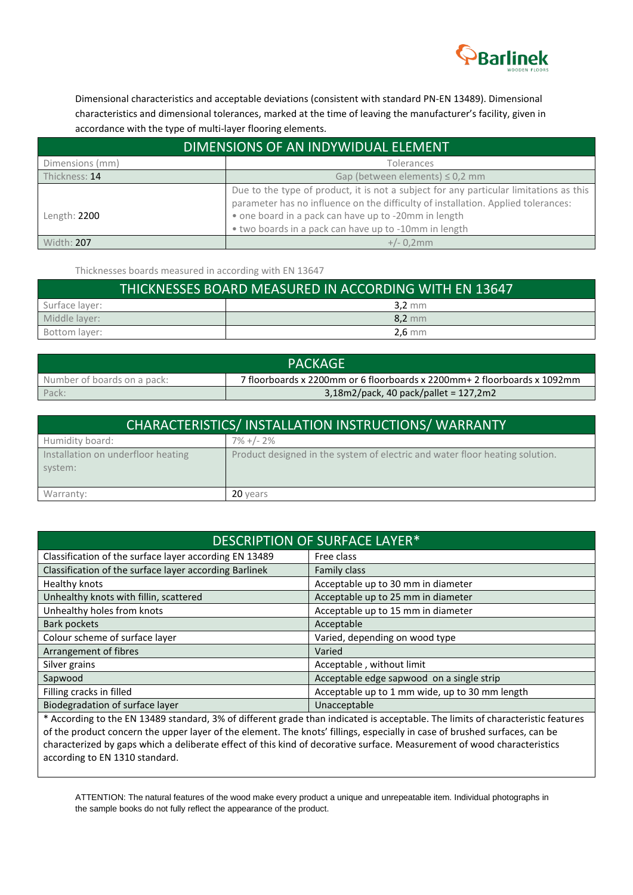

Dimensional characteristics and acceptable deviations (consistent with standard PN-EN 13489). Dimensional characteristics and dimensional tolerances, marked at the time of leaving the manufacturer's facility, given in accordance with the type of multi-layer flooring elements.

| DIMENSIONS OF AN INDYWIDUAL ELEMENT |                                                                                                                                                                                                                                                                                              |  |  |
|-------------------------------------|----------------------------------------------------------------------------------------------------------------------------------------------------------------------------------------------------------------------------------------------------------------------------------------------|--|--|
| Dimensions (mm)                     | Tolerances                                                                                                                                                                                                                                                                                   |  |  |
| Thickness: 14                       | Gap (between elements) $\leq$ 0,2 mm                                                                                                                                                                                                                                                         |  |  |
| Length: 2200                        | Due to the type of product, it is not a subject for any particular limitations as this<br>parameter has no influence on the difficulty of installation. Applied tolerances:<br>• one board in a pack can have up to -20mm in length<br>. two boards in a pack can have up to -10mm in length |  |  |
| Width: 207                          | $+/- 0,2mm$                                                                                                                                                                                                                                                                                  |  |  |

Thicknesses boards measured in according with EN 13647

| THICKNESSES BOARD MEASURED IN ACCORDING WITH EN 13647 |                  |  |  |
|-------------------------------------------------------|------------------|--|--|
| Surface layer:                                        | $3,2 \text{ mm}$ |  |  |
| Middle layer:                                         | 8,2 mm           |  |  |
| Bottom layer:                                         | $2.6$ mm         |  |  |

| <b>PACKAGE</b>                                                                                          |                                          |  |  |
|---------------------------------------------------------------------------------------------------------|------------------------------------------|--|--|
| 7 floorboards x 2200mm or 6 floorboards x 2200mm+ 2 floorboards x 1092mm<br>Number of boards on a pack: |                                          |  |  |
| Pack:                                                                                                   | $3,18$ m2/pack, 40 pack/pallet = 127,2m2 |  |  |

| CHARACTERISTICS/INSTALLATION INSTRUCTIONS/WARRANTY |                                                                              |  |
|----------------------------------------------------|------------------------------------------------------------------------------|--|
| Humidity board:                                    | $7\% + 1 - 2\%$                                                              |  |
| Installation on underfloor heating<br>system:      | Product designed in the system of electric and water floor heating solution. |  |
| Warranty:                                          | 20 years                                                                     |  |

| DESCRIPTION OF SURFACE LAYER*                          |                                                |  |  |
|--------------------------------------------------------|------------------------------------------------|--|--|
| Classification of the surface layer according EN 13489 | Free class                                     |  |  |
| Classification of the surface layer according Barlinek | Family class                                   |  |  |
| Healthy knots                                          | Acceptable up to 30 mm in diameter             |  |  |
| Unhealthy knots with fillin, scattered                 | Acceptable up to 25 mm in diameter             |  |  |
| Unhealthy holes from knots                             | Acceptable up to 15 mm in diameter             |  |  |
| Bark pockets                                           | Acceptable                                     |  |  |
| Colour scheme of surface layer                         | Varied, depending on wood type                 |  |  |
| Arrangement of fibres                                  | Varied                                         |  |  |
| Silver grains                                          | Acceptable, without limit                      |  |  |
| Sapwood                                                | Acceptable edge sapwood on a single strip      |  |  |
| Filling cracks in filled                               | Acceptable up to 1 mm wide, up to 30 mm length |  |  |
| Biodegradation of surface layer                        | Unacceptable                                   |  |  |

\* According to the EN 13489 standard, 3% of different grade than indicated is acceptable. The limits of characteristic features of the product concern the upper layer of the element. The knots' fillings, especially in case of brushed surfaces, can be characterized by gaps which a deliberate effect of this kind of decorative surface. Measurement of wood characteristics according to EN 1310 standard.

ATTENTION: The natural features of the wood make every product a unique and unrepeatable item. Individual photographs in the sample books do not fully reflect the appearance of the product.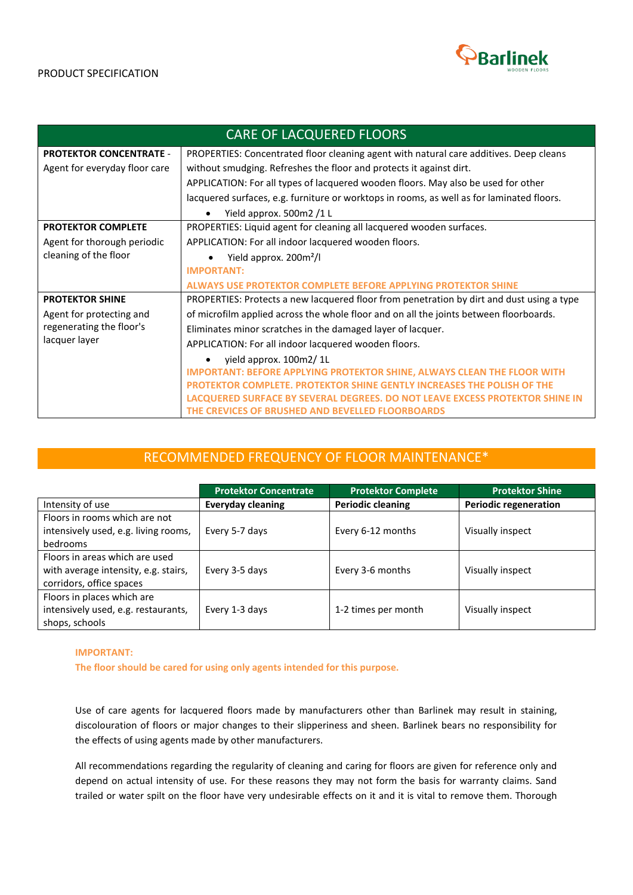

| <b>CARE OF LACQUERED FLOORS</b>           |                                                                                           |  |  |
|-------------------------------------------|-------------------------------------------------------------------------------------------|--|--|
| <b>PROTEKTOR CONCENTRATE -</b>            | PROPERTIES: Concentrated floor cleaning agent with natural care additives. Deep cleans    |  |  |
| Agent for everyday floor care             | without smudging. Refreshes the floor and protects it against dirt.                       |  |  |
|                                           | APPLICATION: For all types of lacquered wooden floors. May also be used for other         |  |  |
|                                           | lacquered surfaces, e.g. furniture or worktops in rooms, as well as for laminated floors. |  |  |
| Yield approx. 500m2 /1 L                  |                                                                                           |  |  |
| <b>PROTEKTOR COMPLETE</b>                 | PROPERTIES: Liquid agent for cleaning all lacquered wooden surfaces.                      |  |  |
| Agent for thorough periodic               | APPLICATION: For all indoor lacquered wooden floors.                                      |  |  |
| cleaning of the floor                     | Yield approx. 200m <sup>2</sup> /l                                                        |  |  |
|                                           | <b>IMPORTANT:</b>                                                                         |  |  |
|                                           | <b>ALWAYS USE PROTEKTOR COMPLETE BEFORE APPLYING PROTEKTOR SHINE</b>                      |  |  |
| <b>PROTEKTOR SHINE</b>                    | PROPERTIES: Protects a new lacquered floor from penetration by dirt and dust using a type |  |  |
| Agent for protecting and                  | of microfilm applied across the whole floor and on all the joints between floorboards.    |  |  |
| regenerating the floor's<br>lacquer layer | Eliminates minor scratches in the damaged layer of lacquer.                               |  |  |
|                                           | APPLICATION: For all indoor lacquered wooden floors.                                      |  |  |
|                                           | yield approx. 100m2/1L                                                                    |  |  |
|                                           | <b>IMPORTANT: BEFORE APPLYING PROTEKTOR SHINE, ALWAYS CLEAN THE FLOOR WITH</b>            |  |  |
|                                           | PROTEKTOR COMPLETE. PROTEKTOR SHINE GENTLY INCREASES THE POLISH OF THE                    |  |  |
|                                           | LACQUERED SURFACE BY SEVERAL DEGREES. DO NOT LEAVE EXCESS PROTEKTOR SHINE IN              |  |  |
|                                           | THE CREVICES OF BRUSHED AND BEVELLED FLOORBOARDS                                          |  |  |

## RECOMMENDED FREQUENCY OF FLOOR MAINTENANCE\*

|                                                                                                    | <b>Protektor Concentrate</b> | <b>Protektor Complete</b> | <b>Protektor Shine</b>       |
|----------------------------------------------------------------------------------------------------|------------------------------|---------------------------|------------------------------|
| Intensity of use                                                                                   | <b>Everyday cleaning</b>     | <b>Periodic cleaning</b>  | <b>Periodic regeneration</b> |
| Floors in rooms which are not<br>intensively used, e.g. living rooms,<br>bedrooms                  | Every 5-7 days               | Every 6-12 months         | Visually inspect             |
| Floors in areas which are used<br>with average intensity, e.g. stairs,<br>corridors, office spaces | Every 3-5 days               | Every 3-6 months          | Visually inspect             |
| Floors in places which are<br>intensively used, e.g. restaurants,<br>shops, schools                | Every 1-3 days               | 1-2 times per month       | Visually inspect             |

## **IMPORTANT:**

**The floor should be cared for using only agents intended for this purpose.**

Use of care agents for lacquered floors made by manufacturers other than Barlinek may result in staining, discolouration of floors or major changes to their slipperiness and sheen. Barlinek bears no responsibility for the effects of using agents made by other manufacturers.

All recommendations regarding the regularity of cleaning and caring for floors are given for reference only and depend on actual intensity of use. For these reasons they may not form the basis for warranty claims. Sand trailed or water spilt on the floor have very undesirable effects on it and it is vital to remove them. Thorough